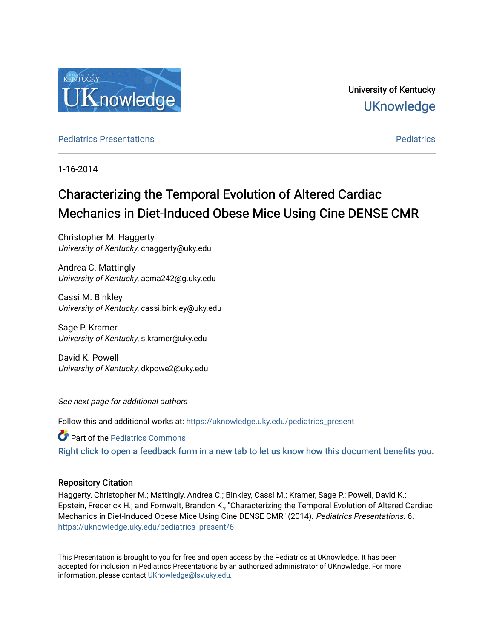

University of Kentucky **UKnowledge** 

**[Pediatrics](https://uknowledge.uky.edu/pediatrics) Presentations Pediatrics** Pediatrics **Presentations** 

1-16-2014

# Characterizing the Temporal Evolution of Altered Cardiac Mechanics in Diet-Induced Obese Mice Using Cine DENSE CMR

Christopher M. Haggerty University of Kentucky, chaggerty@uky.edu

Andrea C. Mattingly University of Kentucky, acma242@g.uky.edu

Cassi M. Binkley University of Kentucky, cassi.binkley@uky.edu

Sage P. Kramer University of Kentucky, s.kramer@uky.edu

David K. Powell University of Kentucky, dkpowe2@uky.edu

See next page for additional authors

Follow this and additional works at: [https://uknowledge.uky.edu/pediatrics\\_present](https://uknowledge.uky.edu/pediatrics_present?utm_source=uknowledge.uky.edu%2Fpediatrics_present%2F6&utm_medium=PDF&utm_campaign=PDFCoverPages)

**Part of the [Pediatrics Commons](http://network.bepress.com/hgg/discipline/700?utm_source=uknowledge.uky.edu%2Fpediatrics_present%2F6&utm_medium=PDF&utm_campaign=PDFCoverPages)** 

[Right click to open a feedback form in a new tab to let us know how this document benefits you.](https://uky.az1.qualtrics.com/jfe/form/SV_9mq8fx2GnONRfz7)

## Repository Citation

Haggerty, Christopher M.; Mattingly, Andrea C.; Binkley, Cassi M.; Kramer, Sage P.; Powell, David K.; Epstein, Frederick H.; and Fornwalt, Brandon K., "Characterizing the Temporal Evolution of Altered Cardiac Mechanics in Diet-Induced Obese Mice Using Cine DENSE CMR" (2014). Pediatrics Presentations. 6. [https://uknowledge.uky.edu/pediatrics\\_present/6](https://uknowledge.uky.edu/pediatrics_present/6?utm_source=uknowledge.uky.edu%2Fpediatrics_present%2F6&utm_medium=PDF&utm_campaign=PDFCoverPages)

This Presentation is brought to you for free and open access by the Pediatrics at UKnowledge. It has been accepted for inclusion in Pediatrics Presentations by an authorized administrator of UKnowledge. For more information, please contact [UKnowledge@lsv.uky.edu](mailto:UKnowledge@lsv.uky.edu).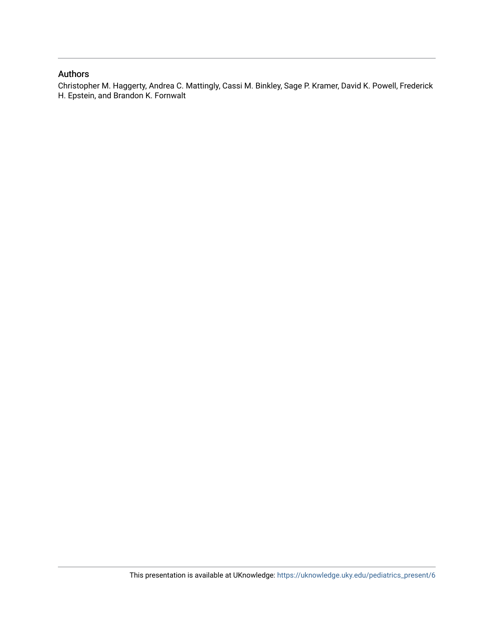## Authors

Christopher M. Haggerty, Andrea C. Mattingly, Cassi M. Binkley, Sage P. Kramer, David K. Powell, Frederick H. Epstein, and Brandon K. Fornwalt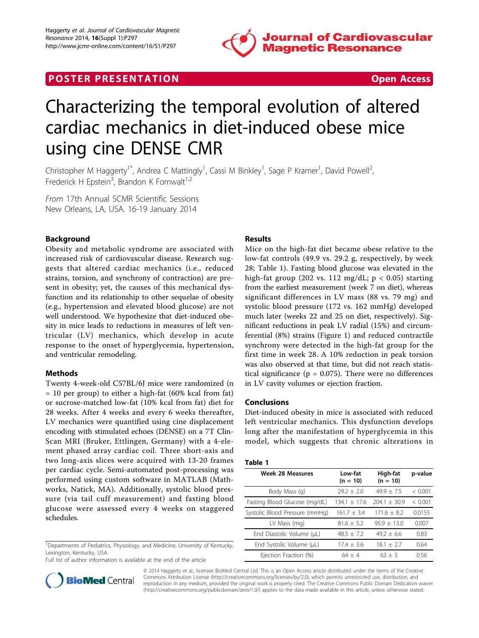

# **POSTER PRESENTATION CONSUMING THE SECOND CONSUMING THE SECOND CONSUMING THE SECOND CONSUMING THE SECOND CONSUMING THE SECOND CONSUMING THE SECOND CONSUMING THE SECOND CONSUMING THE SECOND CONSUMING THE SECOND CONSUMING**

# Characterizing the temporal evolution of altered cardiac mechanics in diet-induced obese mice using cine DENSE CMR

Christopher M Haggerty<sup>1\*</sup>, Andrea C Mattingly<sup>1</sup>, Cassi M Binkley<sup>1</sup>, Sage P Kramer<sup>1</sup>, David Powell<sup>2</sup> , Frederick H Epstein<sup>3</sup>, Brandon K Fornwalt<sup>1,2</sup>

From 17th Annual SCMR Scientific Sessions New Orleans, LA, USA. 16-19 January 2014

### Background

Obesity and metabolic syndrome are associated with increased risk of cardiovascular disease. Research suggests that altered cardiac mechanics (i.e., reduced strains, torsion, and synchrony of contraction) are present in obesity; yet, the causes of this mechanical dysfunction and its relationship to other sequelae of obesity (e.g., hypertension and elevated blood glucose) are not well understood. We hypothesize that diet-induced obesity in mice leads to reductions in measures of left ventricular (LV) mechanics, which develop in acute response to the onset of hyperglycemia, hypertension, and ventricular remodeling.

#### Methods

Twenty 4-week-old C57BL/6J mice were randomized (n = 10 per group) to either a high-fat (60% kcal from fat) or sucrose-matched low-fat (10% kcal from fat) diet for 28 weeks. After 4 weeks and every 6 weeks thereafter, LV mechanics were quantified using cine displacement encoding with stimulated echoes (DENSE) on a 7T Clin-Scan MRI (Bruker, Ettlingen, Germany) with a 4-element phased array cardiac coil. Three short-axis and two long-axis slices were acquired with 13-20 frames per cardiac cycle. Semi-automated post-processing was performed using custom software in MATLAB (Mathworks, Natick, MA). Additionally, systolic blood pressure (via tail cuff measurement) and fasting blood glucose were assessed every 4 weeks on staggered schedules.

<sup>1</sup>Departments of Pediatrics, Physiology, and Medicine, University of Kentucky, Lexington, Kentucky, USA

Full list of author information is available at the end of the article



Mice on the high-fat diet became obese relative to the low-fat controls (49.9 vs. 29.2 g, respectively, by week 28; Table 1). Fasting blood glucose was elevated in the high-fat group (202 vs. 112 mg/dL;  $p < 0.05$ ) starting from the earliest measurement (week 7 on diet), whereas significant differences in LV mass (88 vs. 79 mg) and systolic blood pressure (172 vs. 162 mmHg) developed much later (weeks 22 and 25 on diet, respectively). Significant reductions in peak LV radial (15%) and circumferential (8%) strains (Figure [1\)](#page-3-0) and reduced contractile synchrony were detected in the high-fat group for the first time in week 28. A 10% reduction in peak torsion was also observed at that time, but did not reach statistical significance ( $p = 0.075$ ). There were no differences in LV cavity volumes or ejection fraction.

#### Conclusions

Diet-induced obesity in mice is associated with reduced left ventricular mechanics. This dysfunction develops long after the manifestation of hyperglycemia in this model, which suggests that chronic alterations in

### Table 1

| <b>Week 28 Measures</b>        | Low-fat<br>$(n = 10)$ | High-fat<br>$(n = 10)$ | p-value |
|--------------------------------|-----------------------|------------------------|---------|
| Body Mass (q)                  | $79.2 + 2.0$          | $49.9 + 7.5$           | < 0.001 |
| Fasting Blood Glucose (mg/dL)  | $134.1 + 17.6$        | $204.1 + 30.9$         | < 0.001 |
| Systolic Blood Pressure (mmHq) | $161.7 + 3.4$         | $171.6 + 8.2$          | 0.0155  |
| LV Mass (mg)                   | $81.6 + 5.2$          | $95.9 + 13.0$          | 0.007   |
| End Diastolic Volume (µL)      | $48.5 + 7.2$          | $49.2 + 6.6$           | 0.83    |
| End Systolic Volume (µL)       | $17.4 + 3.6$          | $18.1 + 2.7$           | 0.64    |
| Ejection Fraction (%)          | $64 + 4$              | $63 + 5$               | 0.56    |



© 2014 Haggerty et al.; licensee BioMed Central Ltd. This is an Open Access article distributed under the terms of the Creative Commons Attribution License [\(http://creativecommons.org/licenses/by/2.0](http://creativecommons.org/licenses/by/2.0)), which permits unrestricted use, distribution, and reproduction in any medium, provided the original work is properly cited. The Creative Commons Public Domain Dedication waiver [\(http://creativecommons.org/publicdomain/zero/1.0/](http://creativecommons.org/publicdomain/zero/1.0/)) applies to the data made available in this article, unless otherwise stated.